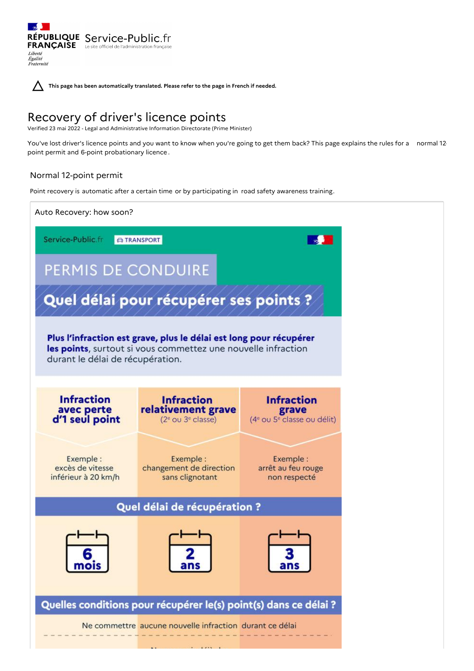RÉPUBLIQUE Service-Public.fr **FRANÇAISE** Le site officiel de l'administration franc Liberté Égalité<br>Fraternité

**This page has been automatically translated. Please refer to the page in French if needed.**

# Recovery of driver's licence points

Verified 23 mai 2022 - Legal and Administrative Information Directorate (Prime Minister)

You've lost driver's licence points and you want to know when you're going to get them back? This page explains the rules for a normal 12point permit and 6-point probationary licence .

# Normal 12-point permit

Point recovery is automatic after a certain time or by participating in road safety awareness training.

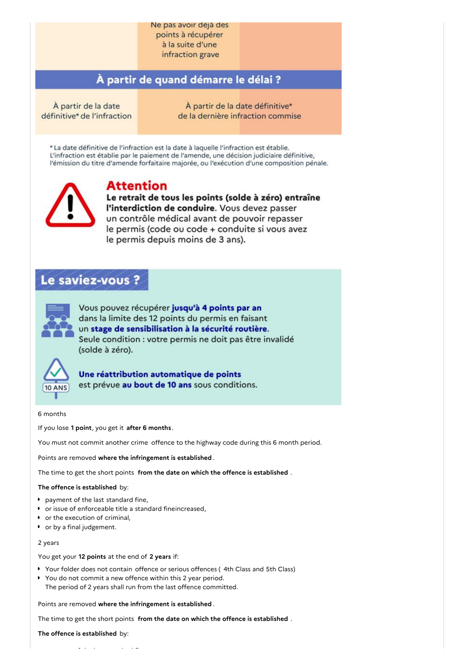# Ne pas avoir deja des points à récupérer à la suite d'une

infraction grave

# À partir de quand démarre le délai ?

À partir de la date définitive\* de l'infraction

À partir de la date définitive\* de la dernière infraction commise

\* La date définitive de l'infraction est la date à laquelle l'infraction est établie. L'infraction est établie par le paiement de l'amende, une décision judiciaire définitive, l'émission du titre d'amende forfaitaire majorée, ou l'exécution d'une composition pénale.



# **Attention**

Le retrait de tous les points (solde à zéro) entraîne l'interdiction de conduire. Vous devez passer un contrôle médical avant de pouvoir repasser le permis (code ou code + conduite si vous avez le permis depuis moins de 3 ans).

# Le saviez-vous ?



Vous pouvez récupérer jusqu'à 4 points par an dans la limite des 12 points du permis en faisant un stage de sensibilisation à la sécurité routière. Seule condition : votre permis ne doit pas être invalidé (solde à zéro).



Une réattribution automatique de points est prévue au bout de 10 ans sous conditions.

# 6 months

If you lose **1 point**, you get it **after 6 months** .

You must not commit another crime offence to the highway code during this 6 month period.

Points are removed **where the infringement is established** .

The time to get the short points **from the date on which the offence is established** .

# **The offence is established** by:

- **payment of the last standard fine,**
- or issue of enforceable title a standard fineincreased,
- or the execution of criminal,
- or by a final judgement.

# 2 years

You get your **12 points** at the end of **2 years** if:

- ▶ Your folder does not contain offence or serious offences (4th Class and 5th Class)
- You do not commit a new offence within this 2 year period. The period of 2 years shall run from the last offence committed.

Points are removed **where the infringement is established** .

The time to get the short points **from the date on which the offence is established** .

**The offence is established** by: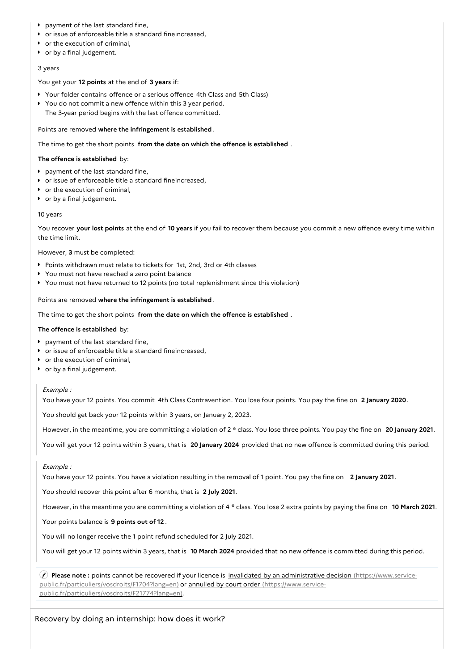- **P** payment of the last standard fine,
- or issue of enforceable title a standard fineincreased,
- or the execution of criminal,
- or by a final judgement.

## 3 years

You get your **12 points** at the end of **3 years** if:

- Your folder contains offence or a serious offence 4th Class and 5th Class)
- You do not commit a new offence within this 3 year period.
	- The 3-year period begins with the last offence committed.

## Points are removed **where the infringement is established** .

The time to get the short points **from the date on which the offence is established** .

# **The offence is established** by:

- **P** payment of the last standard fine,
- or issue of enforceable title a standard fineincreased,
- or the execution of criminal,
- or by a final judgement.

## 10 years

You recover **your lost points** at the end of **10 years** if you fail to recover them because you commit a new offence every time within the time limit.

However, **3** must be completed:

- Points withdrawn must relate to tickets for 1st, 2nd, 3rd or 4th classes
- You must not have reached a zero point balance
- You must not have returned to 12 points (no total replenishment since this violation)

Points are removed **where the infringement is established** .

The time to get the short points **from the date on which the offence is established** .

## **The offence is established** by:

- **P** payment of the last standard fine,
- or issue of enforceable title a standard fineincreased,
- or the execution of criminal,
- or by a final judgement.

# Example :

You have your 12 points. You commit 4th Class Contravention. You lose four points. You pay the fine on **2 January 2020**.

You should get back your 12 points within 3 years, on January 2, 2023.

However, in the meantime, you are committing a violation of 2<sup>e</sup> class. You lose three points. You pay the fine on 20 January 2021.

You will get your 12 points within 3 years, that is **20 January 2024** provided that no new offence is committed during this period.

# Example :

You have your 12 points. You have a violation resulting in the removal of 1 point. You pay the fine on **2 January 2021**.

You should recover this point after 6 months, that is **2 July 2021**.

However, in the meantime you are committing a violation of 4<sup>e</sup> class. You lose 2 extra points by paying the fine on 10 March 2021.

Your points balance is **9 points out of 12** .

You will no longer receive the 1 point refund scheduled for 2 July 2021.

You will get your 12 points within 3 years, that is **10 March 2024** provided that no new offence is committed during this period.

 **Please note :** points cannot be recovered if your licence is invalidated by an administrative decision (https://www.service[public.fr/particuliers/vosdroits/F1704?lang=en\)](https://www.service-public.fr/particuliers/vosdroits/F1704?lang=en) or annulled by court order (https://www.service[public.fr/particuliers/vosdroits/F21774?lang=en\).](https://www.service-public.fr/particuliers/vosdroits/F21774?lang=en)

Recovery by doing an internship: how does it work?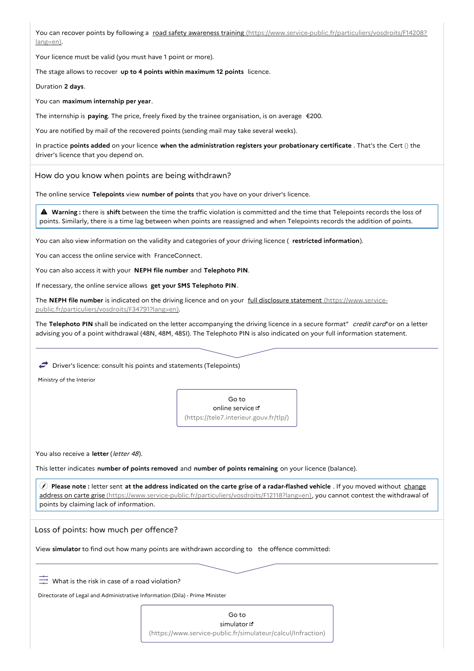You can recover points by following a road safety awareness training [\(https://www.service-public.fr/particuliers/vosdroits/F14208?](https://www.service-public.fr/particuliers/vosdroits/F14208?lang=en) lang=en).

Your licence must be valid (you must have 1 point or more).

The stage allows to recover **up to 4 points within maximum 12 points** licence.

Duration **2 days**.

You can **maximum internship per year**.

The internship is **paying**. The price, freely fixed by the trainee organisation, is on average €200.

You are notified by mail of the recovered points (sending mail may take several weeks).

In practice **points added** on your licence **when the administration registers your probationary certificate** . That's the Cert () the driver's licence that you depend on.

How do you know when points are being withdrawn?

The online service **Telepoints** view **number of points** that you have on your driver's licence.

 **Warning :** there is **shift** between the time the traffic violation is committed and the time that Telepoints records the loss of points. Similarly, there is a time lag between when points are reassigned and when Telepoints records the addition of points.

You can also view information on the validity and categories of your driving licence ( **restricted information**).

You can access the online service with FranceConnect.

You can also access it with your **NEPH file number** and **Telephoto PIN**.

If necessary, the online service allows **get your SMS Telephoto PIN**.

The **NEPH file number** is indicated on the driving licence and on your full disclosure statement (https://www.service[public.fr/particuliers/vosdroits/F34791?lang=en\).](https://www.service-public.fr/particuliers/vosdroits/F34791?lang=en)

The **Telephoto PIN** shall be indicated on the letter accompanying the driving licence in a secure format" credit card"or on a letter advising you of a point withdrawal (48N, 48M, 48SI). The Telephoto PIN is also indicated on your full information statement.

 $\rightarrow$  Driver's licence: consult his points and statements (Telepoints)

Ministry of the Interior

Go to online service  $\mathbf{r}$ [\(https://tele7.interieur.gouv.fr/tlp/\)](https://tele7.interieur.gouv.fr/tlp/)

You also receive a letter (letter 48).

This letter indicates **number of points removed** and **number of points remaining** on your licence (balance).

(f) Please note: letter sent at the address indicated on the carte grise of a radar-flashed vehicle. If you moved without change address on carte grise [\(https://www.service-public.fr/particuliers/vosdroits/F12118?lang=en\),](https://www.service-public.fr/particuliers/vosdroits/F12118?lang=en) you cannot contest the withdrawal of points by claiming lack of information.

Loss of points: how much per offence?

View **simulator** to find out how many points are withdrawn according to the offence committed:

 $\overline{a}$  What is the risk in case of a road violation?

Directorate of Legal and Administrative Information (Dila) - Prime Minister

Go to simulator<sup>d</sup> [\(https://www.service-public.fr/simulateur/calcul/Infraction\)](https://www.service-public.fr/simulateur/calcul/Infraction)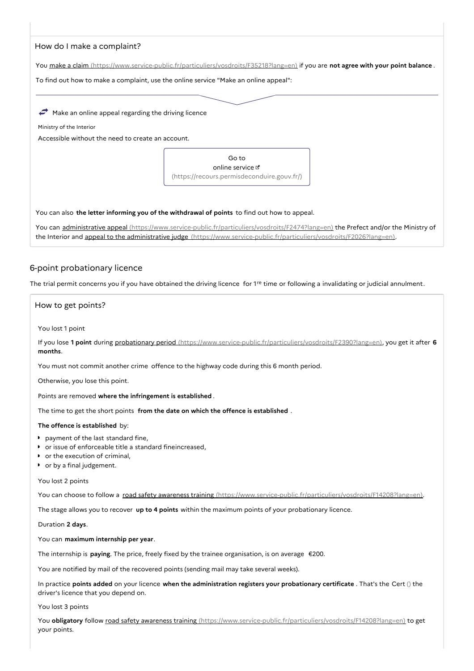# How do I make a complaint?

You make a claim [\(https://www.service-public.fr/particuliers/vosdroits/F35218?lang=en\)](https://www.service-public.fr/particuliers/vosdroits/F35218?lang=en) if you are **not agree with your point balance** .

To find out how to make a complaint, use the online service "Make an online appeal":

 $\rightarrow$  Make an online appeal regarding the driving licence

Ministry of the Interior

Accessible without the need to create an account.

Go to online service  $\mathbb E$ [\(https://recours.permisdeconduire.gouv.fr/\)](https://recours.permisdeconduire.gouv.fr/)

You can also **the letter informing you of the withdrawal of points** to find out how to appeal.

You can administrative appeal [\(https://www.service-public.fr/particuliers/vosdroits/F2474?lang=en\)](https://www.service-public.fr/particuliers/vosdroits/F2474?lang=en) the Prefect and/or the Ministry of the Interior and appeal to the administrative judge [\(https://www.service-public.fr/particuliers/vosdroits/F2026?lang=en\)](https://www.service-public.fr/particuliers/vosdroits/F2026?lang=en).

# 6-point probationary licence

The trial permit concerns you if you have obtained the driving licence for  $1^{\text{re}}$  time or following a invalidating or judicial annulment.

How to get points?

#### You lost 1 point

If you lose **1 point** during probationary period [\(https://www.service-public.fr/particuliers/vosdroits/F2390?lang=en\)](https://www.service-public.fr/particuliers/vosdroits/F2390?lang=en), you get it after **6 months**.

You must not commit another crime offence to the highway code during this 6 month period.

Otherwise, you lose this point.

Points are removed **where the infringement is established** .

The time to get the short points **from the date on which the offence is established** .

# **The offence is established** by:

- **P** payment of the last standard fine,
- or issue of enforceable title a standard fineincreased,
- or the execution of criminal,
- or by a final judgement.

#### You lost 2 points

You can choose to follow a road safety awareness training [\(https://www.service-public.fr/particuliers/vosdroits/F14208?lang=en\)](https://www.service-public.fr/particuliers/vosdroits/F14208?lang=en).

The stage allows you to recover **up to 4 points** within the maximum points of your probationary licence.

#### Duration **2 days**.

You can **maximum internship per year**.

The internship is **paying**. The price, freely fixed by the trainee organisation, is on average €200.

You are notified by mail of the recovered points (sending mail may take several weeks).

In practice **points added** on your licence **when the administration registers your probationary certificate** . That's the Cert () the driver's licence that you depend on.

# You lost 3 points

You **obligatory** follow road safety awareness training [\(https://www.service-public.fr/particuliers/vosdroits/F14208?lang=en\)](https://www.service-public.fr/particuliers/vosdroits/F14208?lang=en) to get your points.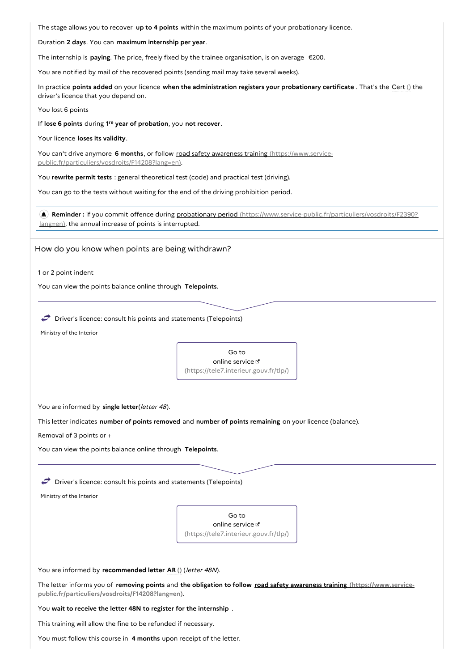The stage allows you to recover **up to 4 points** within the maximum points of your probationary licence.

Duration **2 days**. You can **maximum internship per year**.

The internship is **paying**. The price, freely fixed by the trainee organisation, is on average €200.

You are notified by mail of the recovered points (sending mail may take several weeks).

In practice **points added** on your licence **when the administration registers your probationary certificate** . That's the Cert () the driver's licence that you depend on.

You lost 6 points

If lose 6 points during 1<sup>re</sup> year of probation, you not recover.

Your licence **loses its validity**.

You can't drive anymore 6 months, or follow road safety awareness training (https://www.service[public.fr/particuliers/vosdroits/F14208?lang=en\).](https://www.service-public.fr/particuliers/vosdroits/F14208?lang=en)

You **rewrite permit tests** : general theoretical test (code) and practical test (driving).

You can go to the tests without waiting for the end of the driving prohibition period.

 **Reminder :** if you commit offence during probationary period [\(https://www.service-public.fr/particuliers/vosdroits/F2390?](https://www.service-public.fr/particuliers/vosdroits/F2390?lang=en) lang=en), the annual increase of points is interrupted.

How do you know when points are being withdrawn?

1 or 2 point indent

You can view the points balance online through **Telepoints**.

 $\rightarrow$  Driver's licence: consult his points and statements (Telepoints)

Ministry of the Interior



You are informed by single letter(*letter 48*).

This letter indicates **number of points removed** and **number of points remaining** on your licence (balance).

Removal of 3 points or +

You can view the points balance online through **Telepoints**.

 $\rightarrow$  Driver's licence: consult his points and statements (Telepoints)

Ministry of the Interior

Go to online service  $\mathbb E$ [\(https://tele7.interieur.gouv.fr/tlp/\)](https://tele7.interieur.gouv.fr/tlp/)

You are informed by **recommended letter AR ()** (letter 48N).

The letter informs you of **removing points** and **the obligation to follow road safety awareness training (https://www.service[public.fr/particuliers/vosdroits/F14208?lang=en\)](https://www.service-public.fr/particuliers/vosdroits/F14208?lang=en)**.

You **wait to receive the letter 48N to register for the internship** .

This training will allow the fine to be refunded if necessary.

You must follow this course in **4 months** upon receipt of the letter.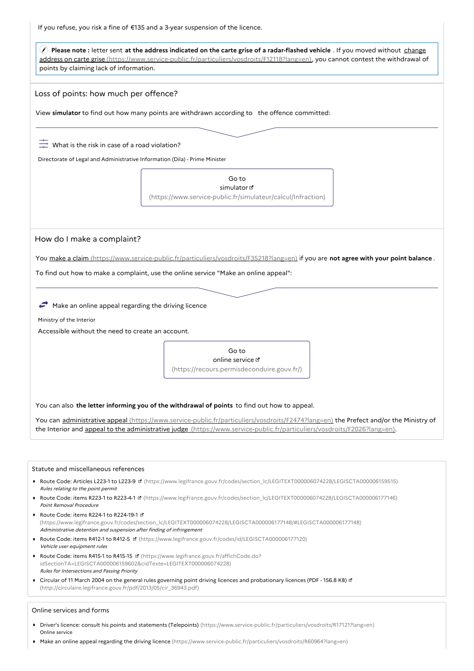If you refuse, you risk a fine of €135 and a 3-year suspension of the licence.

(c) Please note : letter sent at the address indicated on the carte grise of a radar-flashed vehicle . If you moved without change address on carte grise [\(https://www.service-public.fr/particuliers/vosdroits/F12118?lang=en\),](https://www.service-public.fr/particuliers/vosdroits/F12118?lang=en) you cannot contest the withdrawal of points by claiming lack of information.

Loss of points: how much per offence?

View **simulator** to find out how many points are withdrawn according to the offence committed:

 $\overline{C}$  What is the risk in case of a road violation?

Directorate of Legal and Administrative Information (Dila) - Prime Minister

Go to simulator<sup>e</sup> [\(https://www.service-public.fr/simulateur/calcul/Infraction\)](https://www.service-public.fr/simulateur/calcul/Infraction)

How do I make a complaint?

You make a claim [\(https://www.service-public.fr/particuliers/vosdroits/F35218?lang=en\)](https://www.service-public.fr/particuliers/vosdroits/F35218?lang=en) if you are **not agree with your point balance** .

To find out how to make a complaint, use the online service "Make an online appeal":

 $\rightarrow$  Make an online appeal regarding the driving licence

Ministry of the Interior

Accessible without the need to create an account.

Go to online service [\(https://recours.permisdeconduire.gouv.fr/\)](https://recours.permisdeconduire.gouv.fr/)

You can also **the letter informing you of the withdrawal of points** to find out how to appeal.

You can administrative appeal [\(https://www.service-public.fr/particuliers/vosdroits/F2474?lang=en\)](https://www.service-public.fr/particuliers/vosdroits/F2474?lang=en) the Prefect and/or the Ministry of the Interior and appeal to the administrative judge [\(https://www.service-public.fr/particuliers/vosdroits/F2026?lang=en\)](https://www.service-public.fr/particuliers/vosdroits/F2026?lang=en).

#### Statute and miscellaneous references

- ▶ Route Code: Articles L223-1 to L223-9 **¤** [\(https://www.legifrance.gouv.fr/codes/section\\_lc/LEGITEXT000006074228/LEGISCTA000006159515\)](https://www.legifrance.gouv.fr/codes/section_lc/LEGITEXT000006074228/LEGISCTA000006159515) Rules relating to the point permit
- ▶ Route Code: items R223-1 to R223-4-1 **B** [\(https://www.legifrance.gouv.fr/codes/section\\_lc/LEGITEXT000006074228/LEGISCTA000006177146\)](https://www.legifrance.gouv.fr/codes/section_lc/LEGITEXT000006074228/LEGISCTA000006177146) Point Removal Procedure
- Route Code: items R224-1 to R224-19-1 L [\(https://www.legifrance.gouv.fr/codes/section\\_lc/LEGITEXT000006074228/LEGISCTA000006177148/#LEGISCTA000006177148\)](https://www.legifrance.gouv.fr/codes/section_lc/LEGITEXT000006074228/LEGISCTA000006177148/#LEGISCTA000006177148) Administrative detention and suspension after finding of infringement
- Route Code: items R412-1 to R412-5 [\(https://www.legifrance.gouv.fr/codes/id/LEGISCTA000006177120\)](https://www.legifrance.gouv.fr/codes/id/LEGISCTA000006177120) Vehicle user equipment rules
- Route Code: items R415-1 to R415-15 **B** (https://www.legifrance.gouv.fr/affichCode.do? [idSectionTA=LEGISCTA000006159602&cidTexte=LEGITEXT000006074228\)](https://www.legifrance.gouv.fr/affichCode.do?idSectionTA=LEGISCTA000006159602&cidTexte=LEGITEXT000006074228) Rules for Intersections and Passing Priority
- **Circular of 11 March 2004 on the general rules governing point driving licences and probationary licences (PDF 156.8 KB) of** [\(http://circulaire.legifrance.gouv.fr/pdf/2013/05/cir\\_36943.pdf\)](http://circulaire.legifrance.gouv.fr/pdf/2013/05/cir_36943.pdf)

#### Online services and forms

- ▶ Driver's licence: consult his points and statements (Telepoints) [\(https://www.service-public.fr/particuliers/vosdroits/R17121?lang=en\)](https://www.service-public.fr/particuliers/vosdroits/R17121?lang=en) Online service
- Make an online appeal regarding the driving licence [\(https://www.service-public.fr/particuliers/vosdroits/R60964?lang=en\)](https://www.service-public.fr/particuliers/vosdroits/R60964?lang=en)